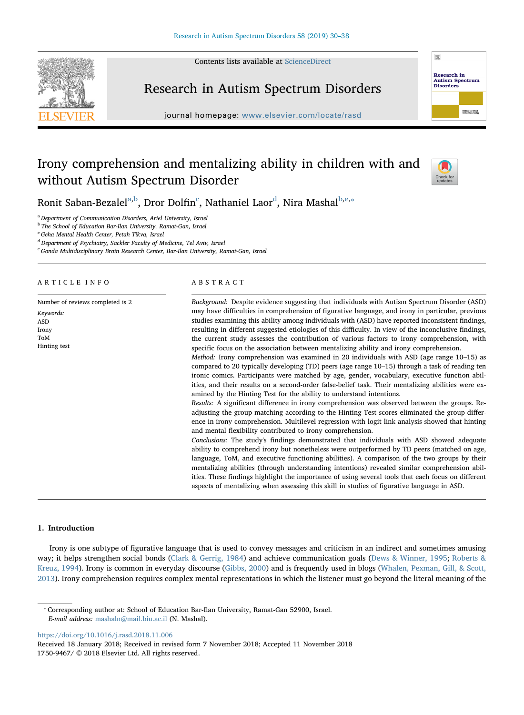Contents lists available at [ScienceDirect](http://www.sciencedirect.com/science/journal/17509467)



# Research in **Autism Spectrum** Research in Autism Spectrum Disorders Disorders

journal homepage: [www.elsevier.com/locate/rasd](https://www.elsevier.com/locate/rasd)

# Irony comprehension and mentalizing ability in children with and without Autism Spectrum Disorder



置

Ronit Sa[b](#page-0-1)an-Bezalel $a,b$  $a,b$ , Dror Dolfin $^{\rm c}$  $^{\rm c}$  $^{\rm c}$ , Nathaniel Laor $^{\rm d}$  $^{\rm d}$  $^{\rm d}$ , Nira Mashal $^{\rm b,e,*}$  $^{\rm b,e,*}$  $^{\rm b,e,*}$ 

<span id="page-0-0"></span><sup>a</sup> Department of Communication Disorders, Ariel University, Israel

<span id="page-0-1"></span><sup>b</sup> The School of Education Bar-Ilan University, Ramat-Gan, Israel

<span id="page-0-2"></span><sup>c</sup> Geha Mental Health Center, Petah Tikva, Israel

<span id="page-0-3"></span><sup>d</sup> Department of Psychiatry, Sackler Faculty of Medicine, Tel Aviv, Israel

<span id="page-0-4"></span><sup>e</sup> Gonda Multidisciplinary Brain Research Center, Bar-Ilan University, Ramat-Gan, Israel

ARTICLE INFO

Number of reviews completed is 2 Keywords: ASD Irony ToM Hinting test

#### ABSTRACT

Background: Despite evidence suggesting that individuals with Autism Spectrum Disorder (ASD) may have difficulties in comprehension of figurative language, and irony in particular, previous studies examining this ability among individuals with (ASD) have reported inconsistent findings, resulting in different suggested etiologies of this difficulty. In view of the inconclusive findings, the current study assesses the contribution of various factors to irony comprehension, with specific focus on the association between mentalizing ability and irony comprehension.

Method: Irony comprehension was examined in 20 individuals with ASD (age range 10–15) as compared to 20 typically developing (TD) peers (age range 10–15) through a task of reading ten ironic comics. Participants were matched by age, gender, vocabulary, executive function abilities, and their results on a second-order false-belief task. Their mentalizing abilities were examined by the Hinting Test for the ability to understand intentions.

Results: A significant difference in irony comprehension was observed between the groups. Readjusting the group matching according to the Hinting Test scores eliminated the group difference in irony comprehension. Multilevel regression with logit link analysis showed that hinting and mental flexibility contributed to irony comprehension.

Conclusions: The study's findings demonstrated that individuals with ASD showed adequate ability to comprehend irony but nonetheless were outperformed by TD peers (matched on age, language, ToM, and executive functioning abilities). A comparison of the two groups by their mentalizing abilities (through understanding intentions) revealed similar comprehension abilities. These findings highlight the importance of using several tools that each focus on different aspects of mentalizing when assessing this skill in studies of figurative language in ASD.

#### 1. Introduction

Irony is one subtype of figurative language that is used to convey messages and criticism in an indirect and sometimes amusing way; it helps strengthen social bonds ([Clark & Gerrig, 1984\)](#page-8-0) and achieve communication goals ([Dews & Winner, 1995;](#page-8-1) [Roberts &](#page-8-2) [Kreuz, 1994\)](#page-8-2). Irony is common in everyday discourse ([Gibbs, 2000](#page-8-3)) and is frequently used in blogs ([Whalen, Pexman, Gill, & Scott,](#page-8-4) [2013\)](#page-8-4). Irony comprehension requires complex mental representations in which the listener must go beyond the literal meaning of the

<span id="page-0-5"></span>⁎ Corresponding author at: School of Education Bar-Ilan University, Ramat-Gan 52900, Israel. E-mail address: [mashaln@mail.biu.ac.il](mailto:mashaln@mail.biu.ac.il) (N. Mashal).

<https://doi.org/10.1016/j.rasd.2018.11.006>

Received 18 January 2018; Received in revised form 7 November 2018; Accepted 11 November 2018 1750-9467/ © 2018 Elsevier Ltd. All rights reserved.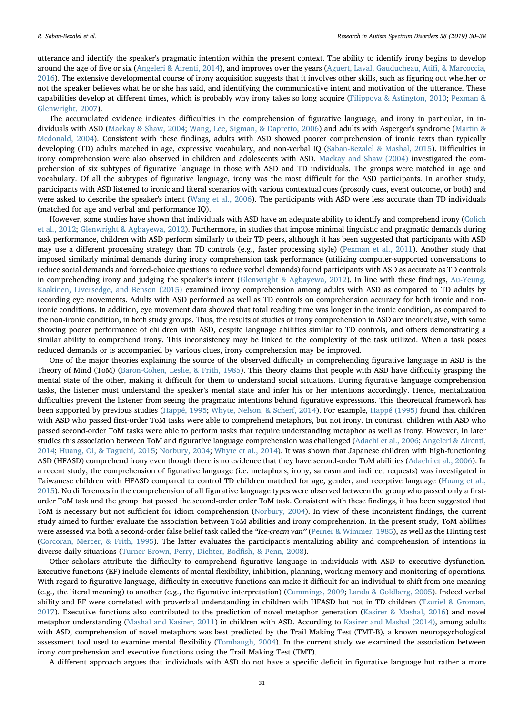utterance and identify the speaker's pragmatic intention within the present context. The ability to identify irony begins to develop around the age of five or six [\(Angeleri & Airenti, 2014](#page-8-5)), and improves over the years ([Aguert, Laval, Gauducheau, Ati](#page-8-6)fi, & Marcoccia, [2016\)](#page-8-6). The extensive developmental course of irony acquisition suggests that it involves other skills, such as figuring out whether or not the speaker believes what he or she has said, and identifying the communicative intent and motivation of the utterance. These capabilities develop at different times, which is probably why irony takes so long acquire ([Filippova & Astington, 2010](#page-8-7); [Pexman &](#page-8-8) [Glenwright, 2007](#page-8-8)).

The accumulated evidence indicates difficulties in the comprehension of figurative language, and irony in particular, in individuals with ASD ([Mackay & Shaw, 2004](#page-8-9); [Wang, Lee, Sigman, & Dapretto, 2006](#page-8-10)) and adults with Asperger's syndrome [\(Martin &](#page-8-11) [Mcdonald, 2004\)](#page-8-11). Consistent with these findings, adults with ASD showed poorer comprehension of ironic texts than typically developing (TD) adults matched in age, expressive vocabulary, and non-verbal IQ ([Saban-Bezalel & Mashal, 2015\)](#page-8-12). Difficulties in irony comprehension were also observed in children and adolescents with ASD. [Mackay and Shaw \(2004\)](#page-8-9) investigated the comprehension of six subtypes of figurative language in those with ASD and TD individuals. The groups were matched in age and vocabulary. Of all the subtypes of figurative language, irony was the most difficult for the ASD participants. In another study, participants with ASD listened to ironic and literal scenarios with various contextual cues (prosody cues, event outcome, or both) and were asked to describe the speaker's intent ([Wang et al., 2006\)](#page-8-10). The participants with ASD were less accurate than TD individuals (matched for age and verbal and performance IQ).

However, some studies have shown that individuals with ASD have an adequate ability to identify and comprehend irony ([Colich](#page-8-13) [et al., 2012](#page-8-13); [Glenwright & Agbayewa, 2012](#page-8-14)). Furthermore, in studies that impose minimal linguistic and pragmatic demands during task performance, children with ASD perform similarly to their TD peers, although it has been suggested that participants with ASD may use a different processing strategy than TD controls (e.g., faster processing style) [\(Pexman et al., 2011](#page-8-15)). Another study that imposed similarly minimal demands during irony comprehension task performance (utilizing computer-supported conversations to reduce social demands and forced-choice questions to reduce verbal demands) found participants with ASD as accurate as TD controls in comprehending irony and judging the speaker's intent ([Glenwright & Agbayewa, 2012](#page-8-14)). In line with these findings, [Au-Yeung,](#page-8-16) [Kaakinen, Liversedge, and Benson \(2015\)](#page-8-16) examined irony comprehension among adults with ASD as compared to TD adults by recording eye movements. Adults with ASD performed as well as TD controls on comprehension accuracy for both ironic and nonironic conditions. In addition, eye movement data showed that total reading time was longer in the ironic condition, as compared to the non-ironic condition, in both study groups. Thus, the results of studies of irony comprehension in ASD are inconclusive, with some showing poorer performance of children with ASD, despite language abilities similar to TD controls, and others demonstrating a similar ability to comprehend irony. This inconsistency may be linked to the complexity of the task utilized. When a task poses reduced demands or is accompanied by various clues, irony comprehension may be improved.

One of the major theories explaining the source of the observed difficulty in comprehending figurative language in ASD is the Theory of Mind (ToM) ([Baron-Cohen, Leslie, & Frith, 1985](#page-8-17)). This theory claims that people with ASD have difficulty grasping the mental state of the other, making it difficult for them to understand social situations. During figurative language comprehension tasks, the listener must understand the speaker's mental state and infer his or her intentions accordingly. Hence, mentalization difficulties prevent the listener from seeing the pragmatic intentions behind figurative expressions. This theoretical framework has been supported by previous studies ([Happé, 1995;](#page-8-18) [Whyte, Nelson, & Scherf, 2014\)](#page-8-19). For example, [Happé \(1995\)](#page-8-18) found that children with ASD who passed first-order ToM tasks were able to comprehend metaphors, but not irony. In contrast, children with ASD who passed second-order ToM tasks were able to perform tasks that require understanding metaphor as well as irony. However, in later studies this association between ToM and figurative language comprehension was challenged [\(Adachi et al., 2006](#page-8-20); [Angeleri & Airenti,](#page-8-5) [2014;](#page-8-5) [Huang, Oi, & Taguchi, 2015](#page-8-21); [Norbury, 2004](#page-8-22); [Whyte et al., 2014\)](#page-8-19). It was shown that Japanese children with high-functioning ASD (HFASD) comprehend irony even though there is no evidence that they have second-order ToM abilities ([Adachi et al., 2006\)](#page-8-20). In a recent study, the comprehension of figurative language (i.e. metaphors, irony, sarcasm and indirect requests) was investigated in Taiwanese children with HFASD compared to control TD children matched for age, gender, and receptive language ([Huang et al.,](#page-8-21) [2015\)](#page-8-21). No differences in the comprehension of all figurative language types were observed between the group who passed only a firstorder ToM task and the group that passed the second-order order ToM task. Consistent with these findings, it has been suggested that ToM is necessary but not sufficient for idiom comprehension ([Norbury, 2004](#page-8-22)). In view of these inconsistent findings, the current study aimed to further evaluate the association between ToM abilities and irony comprehension. In the present study, ToM abilities were assessed via both a second-order false belief task called the "Ice-cream van" ([Perner & Wimmer, 1985\)](#page-8-23), as well as the Hinting test ([Corcoran, Mercer, & Frith, 1995\)](#page-8-24). The latter evaluates the participant's mentalizing ability and comprehension of intentions in diverse daily situations ([Turner-Brown, Perry, Dichter, Bod](#page-8-25)fish, & Penn, 2008).

Other scholars attribute the difficulty to comprehend figurative language in individuals with ASD to executive dysfunction. Executive functions (EF) include elements of mental flexibility, inhibition, planning, working memory and monitoring of operations. With regard to figurative language, difficulty in executive functions can make it difficult for an individual to shift from one meaning (e.g., the literal meaning) to another (e.g., the figurative interpretation) [\(Cummings, 2009](#page-8-26); [Landa & Goldberg, 2005](#page-8-27)). Indeed verbal ability and EF were correlated with proverbial understanding in children with HFASD but not in TD children ([Tzuriel & Groman,](#page-8-28) [2017\)](#page-8-28). Executive functions also contributed to the prediction of novel metaphor generation ([Kasirer & Mashal, 2016](#page-8-29)) and novel metaphor understanding ([Mashal and Kasirer, 2011](#page-8-30)) in children with ASD. According to [Kasirer and Mashal \(2014\)](#page-8-31), among adults with ASD, comprehension of novel metaphors was best predicted by the Trail Making Test (TMT-B), a known neuropsychological assessment tool used to examine mental flexibility ([Tombaugh, 2004\)](#page-8-32). In the current study we examined the association between irony comprehension and executive functions using the Trail Making Test (TMT).

A different approach argues that individuals with ASD do not have a specific deficit in figurative language but rather a more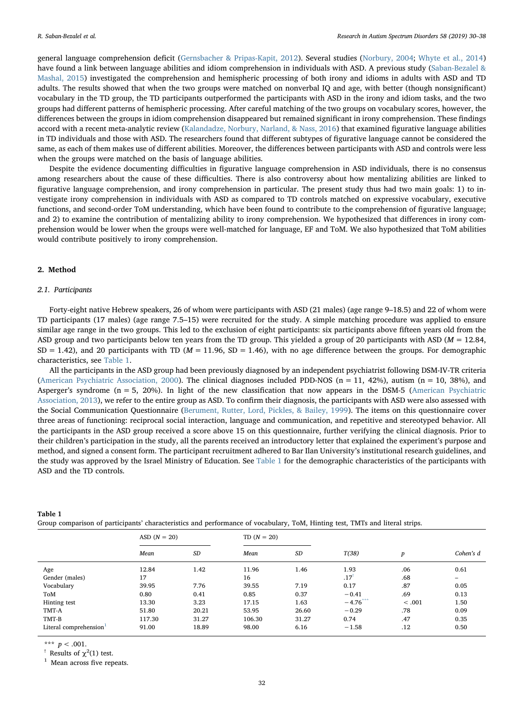general language comprehension deficit ([Gernsbacher & Pripas-Kapit, 2012\)](#page-8-33). Several studies [\(Norbury, 2004;](#page-8-22) [Whyte et al., 2014](#page-8-19)) have found a link between language abilities and idiom comprehension in individuals with ASD. A previous study [\(Saban-Bezalel &](#page-8-12) [Mashal, 2015](#page-8-12)) investigated the comprehension and hemispheric processing of both irony and idioms in adults with ASD and TD adults. The results showed that when the two groups were matched on nonverbal IQ and age, with better (though nonsignificant) vocabulary in the TD group, the TD participants outperformed the participants with ASD in the irony and idiom tasks, and the two groups had different patterns of hemispheric processing. After careful matching of the two groups on vocabulary scores, however, the differences between the groups in idiom comprehension disappeared but remained significant in irony comprehension. These findings accord with a recent meta-analytic review ([Kalandadze, Norbury, Narland, & Nass, 2016\)](#page-8-34) that examined figurative language abilities in TD individuals and those with ASD. The researchers found that different subtypes of figurative language cannot be considered the same, as each of them makes use of different abilities. Moreover, the differences between participants with ASD and controls were less when the groups were matched on the basis of language abilities.

Despite the evidence documenting difficulties in figurative language comprehension in ASD individuals, there is no consensus among researchers about the cause of these difficulties. There is also controversy about how mentalizing abilities are linked to figurative language comprehension, and irony comprehension in particular. The present study thus had two main goals: 1) to investigate irony comprehension in individuals with ASD as compared to TD controls matched on expressive vocabulary, executive functions, and second-order ToM understanding, which have been found to contribute to the comprehension of figurative language; and 2) to examine the contribution of mentalizing ability to irony comprehension. We hypothesized that differences in irony comprehension would be lower when the groups were well-matched for language, EF and ToM. We also hypothesized that ToM abilities would contribute positively to irony comprehension.

## 2. Method

#### 2.1. Participants

Forty-eight native Hebrew speakers, 26 of whom were participants with ASD (21 males) (age range 9–18.5) and 22 of whom were TD participants (17 males) (age range 7.5–15) were recruited for the study. A simple matching procedure was applied to ensure similar age range in the two groups. This led to the exclusion of eight participants: six participants above fifteen years old from the ASD group and two participants below ten years from the TD group. This yielded a group of 20 participants with ASD ( $M = 12.84$ ,  $SD = 1.42$ ), and 20 participants with TD ( $M = 11.96$ ,  $SD = 1.46$ ), with no age difference between the groups. For demographic characteristics, see [Table 1.](#page-2-0)

All the participants in the ASD group had been previously diagnosed by an independent psychiatrist following DSM-IV-TR criteria ([American Psychiatric Association, 2000](#page-8-35)). The clinical diagnoses included PDD-NOS ( $n = 11$ , 42%), autism ( $n = 10$ , 38%), and Asperger's syndrome  $(n = 5, 20\%)$ . In light of the new classification that now appears in the DSM-5 [\(American Psychiatric](#page-8-36) [Association, 2013](#page-8-36)), we refer to the entire group as ASD. To confirm their diagnosis, the participants with ASD were also assessed with the Social Communication Questionnaire [\(Berument, Rutter, Lord, Pickles, & Bailey, 1999\)](#page-8-37). The items on this questionnaire cover three areas of functioning: reciprocal social interaction, language and communication, and repetitive and stereotyped behavior. All the participants in the ASD group received a score above 15 on this questionnaire, further verifying the clinical diagnosis. Prior to their children's participation in the study, all the parents received an introductory letter that explained the experiment's purpose and method, and signed a consent form. The participant recruitment adhered to Bar Ilan University's institutional research guidelines, and the study was approved by the Israel Ministry of Education. See [Table 1](#page-2-0) for the demographic characteristics of the participants with ASD and the TD controls.

<span id="page-2-0"></span>

| Table 1 |                                                                                                                              |  |  |
|---------|------------------------------------------------------------------------------------------------------------------------------|--|--|
|         | Group comparison of participants' characteristics and performance of vocabulary, ToM, Hinting test, TMTs and literal strips. |  |  |

|                       | ASD $(N = 20)$ |           | $TD(N = 20)$ |       |            |         |           |
|-----------------------|----------------|-----------|--------------|-------|------------|---------|-----------|
|                       | Mean           | <b>SD</b> | Mean         | SD    | T(38)      | p       | Cohen's d |
| Age                   | 12.84          | 1.42      | 11.96        | 1.46  | 1.93       | .06     | 0.61      |
| Gender (males)        | 17             |           | 16           |       | .17'       | .68     | -         |
| Vocabulary            | 39.95          | 7.76      | 39.55        | 7.19  | 0.17       | .87     | 0.05      |
| ToM                   | 0.80           | 0.41      | 0.85         | 0.37  | $-0.41$    | .69     | 0.13      |
| Hinting test          | 13.30          | 3.23      | 17.15        | 1.63  | $-4.76***$ | < 0.001 | 1.50      |
| TMT-A                 | 51.80          | 20.21     | 53.95        | 26.60 | $-0.29$    | .78     | 0.09      |
| TMT-B                 | 117.30         | 31.27     | 106.30       | 31.27 | 0.74       | .47     | 0.35      |
| Literal comprehension | 91.00          | 18.89     | 98.00        | 6.16  | $-1.58$    | .12     | 0.50      |

<span id="page-2-2"></span>\*\*\*  $p < .001$ .

<span id="page-2-1"></span><sup>1</sup> Results of  $\chi^2(1)$  test.

<span id="page-2-3"></span>Mean across five repeats.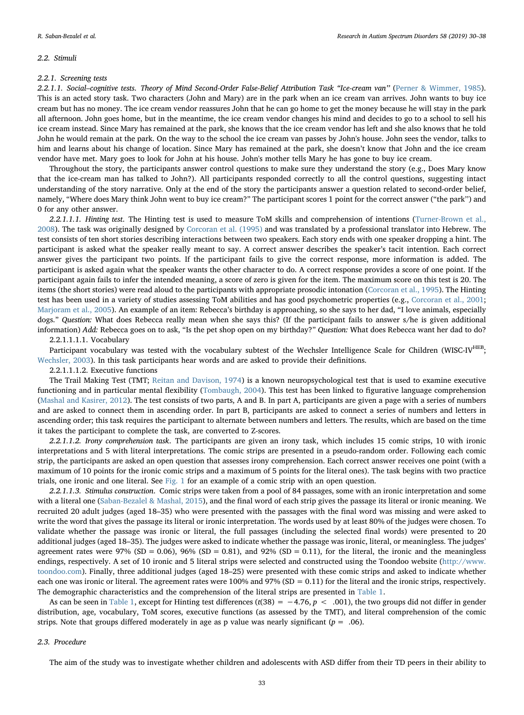## 2.2. Stimuli

#### 2.2.1. Screening tests

2.2.1.1. Social–cognitive tests. Theory of Mind Second-Order False-Belief Attribution Task "Ice-cream van" [\(Perner & Wimmer, 1985\)](#page-8-23). This is an acted story task. Two characters (John and Mary) are in the park when an ice cream van arrives. John wants to buy ice cream but has no money. The ice cream vendor reassures John that he can go home to get the money because he will stay in the park all afternoon. John goes home, but in the meantime, the ice cream vendor changes his mind and decides to go to a school to sell his ice cream instead. Since Mary has remained at the park, she knows that the ice cream vendor has left and she also knows that he told John he would remain at the park. On the way to the school the ice cream van passes by John's house. John sees the vendor, talks to him and learns about his change of location. Since Mary has remained at the park, she doesn't know that John and the ice cream vendor have met. Mary goes to look for John at his house. John's mother tells Mary he has gone to buy ice cream.

Throughout the story, the participants answer control questions to make sure they understand the story (e.g., Does Mary know that the ice-cream man has talked to John?). All participants responded correctly to all the control questions, suggesting intact understanding of the story narrative. Only at the end of the story the participants answer a question related to second-order belief, namely, "Where does Mary think John went to buy ice cream?" The participant scores 1 point for the correct answer ("the park'') and 0 for any other answer.

2.2.1.1.1. Hinting test. The Hinting test is used to measure ToM skills and comprehension of intentions ([Turner-Brown et al.,](#page-8-25) [2008\)](#page-8-25). The task was originally designed by [Corcoran et al. \(1995\)](#page-8-24) and was translated by a professional translator into Hebrew. The test consists of ten short stories describing interactions between two speakers. Each story ends with one speaker dropping a hint. The participant is asked what the speaker really meant to say. A correct answer describes the speaker's tacit intention. Each correct answer gives the participant two points. If the participant fails to give the correct response, more information is added. The participant is asked again what the speaker wants the other character to do. A correct response provides a score of one point. If the participant again fails to infer the intended meaning, a score of zero is given for the item. The maximum score on this test is 20. The items (the short stories) were read aloud to the participants with appropriate prosodic intonation ([Corcoran et al., 1995](#page-8-24)). The Hinting test has been used in a variety of studies assessing ToM abilities and has good psychometric properties (e.g., [Corcoran et al., 2001;](#page-8-38) [Marjoram et al., 2005\)](#page-8-39). An example of an item: Rebecca's birthday is approaching, so she says to her dad, "I love animals, especially dogs." Question: What does Rebecca really mean when she says this? (If the participant fails to answer s/he is given additional information) Add: Rebecca goes on to ask, "Is the pet shop open on my birthday?" Question: What does Rebecca want her dad to do?

## 2.2.1.1.1.1. Vocabulary

Participant vocabulary was tested with the vocabulary subtest of the Wechsler Intelligence Scale for Children (WISC-IV<sup>HEB</sup>; [Wechsler, 2003\)](#page-8-40). In this task participants hear words and are asked to provide their definitions.

## 2.2.1.1.1.2. Executive functions

The Trail Making Test (TMT; [Reitan and Davison, 1974](#page-8-41)) is a known neuropsychological test that is used to examine executive functioning and in particular mental flexibility [\(Tombaugh, 2004\)](#page-8-32). This test has been linked to figurative language comprehension ([Mashal and Kasirer, 2012](#page-8-42)). The test consists of two parts, A and B. In part A, participants are given a page with a series of numbers and are asked to connect them in ascending order. In part B, participants are asked to connect a series of numbers and letters in ascending order; this task requires the participant to alternate between numbers and letters. The results, which are based on the time it takes the participant to complete the task, are converted to Z-scores.

2.2.1.1.2. Irony comprehension task. The participants are given an irony task, which includes 15 comic strips, 10 with ironic interpretations and 5 with literal interpretations. The comic strips are presented in a pseudo-random order. Following each comic strip, the participants are asked an open question that assesses irony comprehension. Each correct answer receives one point (with a maximum of 10 points for the ironic comic strips and a maximum of 5 points for the literal ones). The task begins with two practice trials, one ironic and one literal. See [Fig. 1](#page-4-0) for an example of a comic strip with an open question.

2.2.1.1.3. Stimulus construction. Comic strips were taken from a pool of 84 passages, some with an ironic interpretation and some with a literal one [\(Saban-Bezalel & Mashal, 2015\)](#page-8-12), and the final word of each strip gives the passage its literal or ironic meaning. We recruited 20 adult judges (aged 18–35) who were presented with the passages with the final word was missing and were asked to write the word that gives the passage its literal or ironic interpretation. The words used by at least 80% of the judges were chosen. To validate whether the passage was ironic or literal, the full passages (including the selected final words) were presented to 20 additional judges (aged 18–35). The judges were asked to indicate whether the passage was ironic, literal, or meaningless. The judges' agreement rates were 97% (SD = 0.06), 96% (SD = 0.81), and 92% (SD = 0.11), for the literal, the ironic and the meaningless endings, respectively. A set of 10 ironic and 5 literal strips were selected and constructed using the Toondoo website ([http://www.](http://www.toondoo.com) [toondoo.com](http://www.toondoo.com)). Finally, three additional judges (aged 18–25) were presented with these comic strips and asked to indicate whether each one was ironic or literal. The agreement rates were  $100\%$  and  $97\%$  (SD = 0.11) for the literal and the ironic strips, respectively. The demographic characteristics and the comprehension of the literal strips are presented in [Table 1](#page-2-0).

As can be seen in [Table 1,](#page-2-0) except for Hinting test differences  $(t(38) = -4.76, p < .001)$ , the two groups did not differ in gender distribution, age, vocabulary, ToM scores, executive functions (as assessed by the TMT), and literal comprehension of the comic strips. Note that groups differed moderately in age as p value was nearly significant ( $p = .06$ ).

## 2.3. Procedure

The aim of the study was to investigate whether children and adolescents with ASD differ from their TD peers in their ability to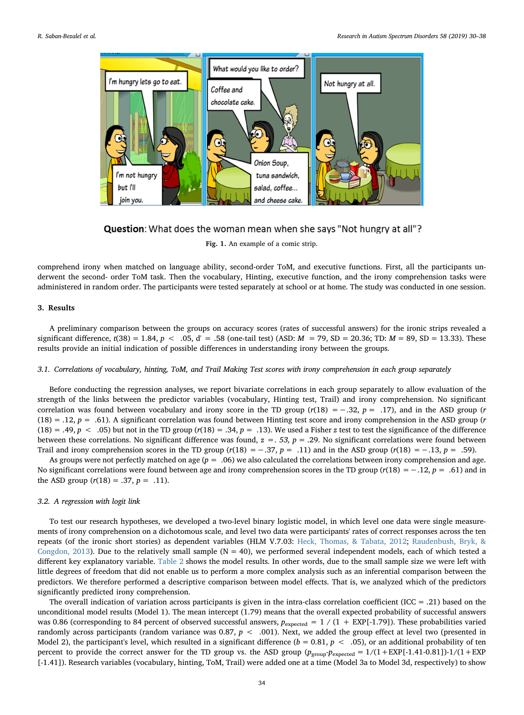<span id="page-4-0"></span>

Question: What does the woman mean when she says "Not hungry at all"?

Fig. 1. An example of a comic strip.

comprehend irony when matched on language ability, second-order ToM, and executive functions. First, all the participants underwent the second- order ToM task. Then the vocabulary, Hinting, executive function, and the irony comprehension tasks were administered in random order. The participants were tested separately at school or at home. The study was conducted in one session.

## 3. Results

A preliminary comparison between the groups on accuracy scores (rates of successful answers) for the ironic strips revealed a significant difference,  $t(38) = 1.84$ ,  $p < .05$ ,  $d' = .58$  (one-tail test) (ASD:  $M = 79$ , SD = 20.36; TD:  $M = 89$ , SD = 13.33). These results provide an initial indication of possible differences in understanding irony between the groups.

## 3.1. Correlations of vocabulary, hinting, ToM, and Trail Making Test scores with irony comprehension in each group separately

Before conducting the regression analyses, we report bivariate correlations in each group separately to allow evaluation of the strength of the links between the predictor variables (vocabulary, Hinting test, Trail) and irony comprehension. No significant correlation was found between vocabulary and irony score in the TD group  $(r(18) = -.32, p = .17)$ , and in the ASD group (r  $(18) = .12$ ,  $p = .61$ ). A significant correlation was found between Hinting test score and irony comprehension in the ASD group (r (18) = .49,  $p < .05$ ) but not in the TD group ( $r(18) = .34$ ,  $p = .13$ ). We used a Fisher z test to test the significance of the difference between these correlations. No significant difference was found,  $z = 0.53$ ,  $p = 0.29$ . No significant correlations were found between Trail and irony comprehension scores in the TD group  $(r(18) = -.37, p = .11)$  and in the ASD group  $(r(18) = -.13, p = .59)$ .

As groups were not perfectly matched on age ( $p = 0.06$ ) we also calculated the correlations between irony comprehension and age. No significant correlations were found between age and irony comprehension scores in the TD group (r(18) = -.12, p = .61) and in the ASD group  $(r(18) = .37, p = .11)$ .

## 3.2. A regression with logit link

To test our research hypotheses, we developed a two-level binary logistic model, in which level one data were single measurements of irony comprehension on a dichotomous scale, and level two data were participants' rates of correct responses across the ten repeats (of the ironic short stories) as dependent variables (HLM V.7.03: [Heck, Thomas, & Tabata, 2012;](#page-8-43) [Raudenbush, Bryk, &](#page-8-44) [Congdon, 2013\)](#page-8-44). Due to the relatively small sample ( $N = 40$ ), we performed several independent models, each of which tested a different key explanatory variable. [Table 2](#page-5-0) shows the model results. In other words, due to the small sample size we were left with little degrees of freedom that did not enable us to perform a more complex analysis such as an inferential comparison between the predictors. We therefore performed a descriptive comparison between model effects. That is, we analyzed which of the predictors significantly predicted irony comprehension.

The overall indication of variation across participants is given in the intra-class correlation coefficient (ICC = .21) based on the unconditional model results (Model 1). The mean intercept (1.79) means that the overall expected probability of successful answers was 0.86 (corresponding to 84 percent of observed successful answers,  $p_{expected} = 1 / (1 + EXP[-1.79])$ . These probabilities varied randomly across participants (random variance was  $0.87$ ,  $p < .001$ ). Next, we added the group effect at level two (presented in Model 2), the participant's level, which resulted in a significant difference ( $b = 0.81$ ,  $p < .05$ ), or an additional probability of ten percent to provide the correct answer for the TD group vs. the ASD group ( $p_{group}$ - $p_{expected}$  = 1/(1+EXP[-1.41-0.81])-1/(1+EXP [-1.41]). Research variables (vocabulary, hinting, ToM, Trail) were added one at a time (Model 3a to Model 3d, respectively) to show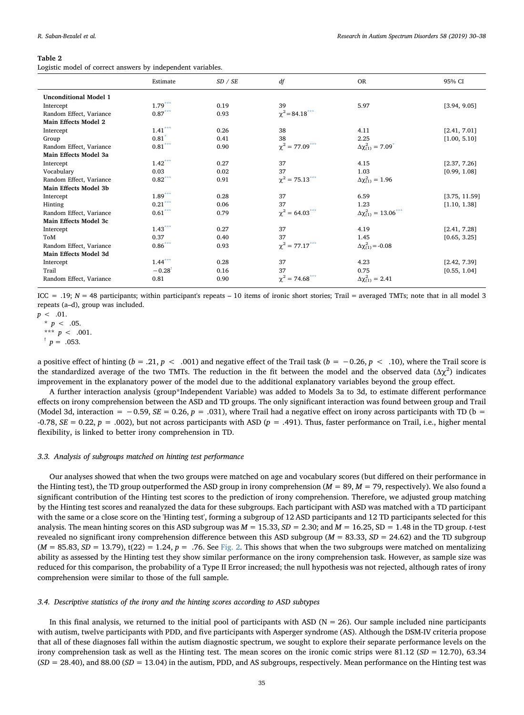#### <span id="page-5-0"></span>Table 2

Logistic model of correct answers by independent variables.

|                              | Estimate              | SD / SE | df                              | OR                                     | 95% CI        |  |  |
|------------------------------|-----------------------|---------|---------------------------------|----------------------------------------|---------------|--|--|
| <b>Unconditional Model 1</b> |                       |         |                                 |                                        |               |  |  |
| Intercept                    | $1.79***$             | 0.19    | 39                              | 5.97                                   | [3.94, 9.05]  |  |  |
| Random Effect, Variance      | $0.87***$             | 0.93    | $\chi^2$ = 84.18 <sup>***</sup> |                                        |               |  |  |
| <b>Main Effects Model 2</b>  |                       |         |                                 |                                        |               |  |  |
| Intercept                    | $1.41***$             | 0.26    | 38                              | 4.11                                   | [2.41, 7.01]  |  |  |
| Group                        | $0.81$ <sup>*</sup>   | 0.41    | 38                              | 2.25                                   | [1.00, 5.10]  |  |  |
| Random Effect, Variance      | $0.81^{\ast\ast\ast}$ | 0.90    | $\chi^2 = 77.09$ ***            | $\Delta \chi_{(1)}^2 = 7.09^{\degree}$ |               |  |  |
| Main Effects Model 3a        |                       |         |                                 |                                        |               |  |  |
| Intercept                    | $1.42***$             | 0.27    | 37                              | 4.15                                   | [2.37, 7.26]  |  |  |
| Vocabulary                   | 0.03                  | 0.02    | 37                              | 1.03                                   | [0.99, 1.08]  |  |  |
| Random Effect, Variance      | $0.82***$             | 0.91    | $\chi^2$ = 75.13 <sup>***</sup> | $\Delta \chi_{(1)}^2 = 1.96$           |               |  |  |
| <b>Main Effects Model 3b</b> |                       |         |                                 |                                        |               |  |  |
| Intercept                    | $1.89***$             | 0.28    | 37                              | 6.59                                   | [3.75, 11.59] |  |  |
| Hinting                      | $0.21***$             | 0.06    | 37                              | 1.23                                   | [1.10, 1.38]  |  |  |
| Random Effect, Variance      | $0.61***$             | 0.79    | $\chi^2$ = 64.03***             | $\Delta \chi_{(1)}^2 = 13.06$ ***      |               |  |  |
| Main Effects Model 3c        |                       |         |                                 |                                        |               |  |  |
| Intercept                    | $1.43***$             | 0.27    | 37                              | 4.19                                   | [2.41, 7.28]  |  |  |
| ToM                          | 0.37                  | 0.40    | 37                              | 1.45                                   | [0.65, 3.25]  |  |  |
| Random Effect, Variance      | $0.86***$             | 0.93    | $\chi^2 = 77.17$ ***            | $\Delta \chi_{(1)}^2 = -0.08$          |               |  |  |
| Main Effects Model 3d        |                       |         |                                 |                                        |               |  |  |
| Intercept                    | $1.44***$             | 0.28    | 37                              | 4.23                                   | [2.42, 7.39]  |  |  |
| Trail                        | $-0.28$               | 0.16    | 37                              | 0.75                                   | [0.55, 1.04]  |  |  |
| Random Effect, Variance      | 0.81                  | 0.90    | $\chi^2 = 74.68$ ***            | $\Delta \chi_{(1)}^2 = 2.41$           |               |  |  |

ICC = .19;  $N = 48$  participants; within participant's repeats – 10 items of ironic short stories; Trail = averaged TMTs; note that in all model 3 repeats (a–d), group was included.

<span id="page-5-2"></span> $p < .01$ . \*  $p$  < .05. \*\*\*  $p < .001$ .

<span id="page-5-3"></span><span id="page-5-1"></span> $p = .053$ .

a positive effect of hinting ( $b = .21$ ,  $p < .001$ ) and negative effect of the Trail task ( $b = -0.26$ ,  $p < .10$ ), where the Trail score is the standardized average of the two TMTs. The reduction in the fit between the model and the observed data  $(\Delta \chi^2)$  indicates improvement in the explanatory power of the model due to the additional explanatory variables beyond the group effect.

A further interaction analysis (group\*Independent Variable) was added to Models 3a to 3d, to estimate different performance effects on irony comprehension between the ASD and TD groups. The only significant interaction was found between group and Trail (Model 3d, interaction =  $-0.59$ ,  $SE = 0.26$ ,  $p = .031$ ), where Trail had a negative effect on irony across participants with TD (b = -0.78,  $SE = 0.22$ ,  $p = .002$ ), but not across participants with ASD ( $p = .491$ ). Thus, faster performance on Trail, i.e., higher mental flexibility, is linked to better irony comprehension in TD.

#### 3.3. Analysis of subgroups matched on hinting test performance

Our analyses showed that when the two groups were matched on age and vocabulary scores (but differed on their performance in the Hinting test), the TD group outperformed the ASD group in irony comprehension  $(M = 89, M = 79)$ , respectively). We also found a significant contribution of the Hinting test scores to the prediction of irony comprehension. Therefore, we adjusted group matching by the Hinting test scores and reanalyzed the data for these subgroups. Each participant with ASD was matched with a TD participant with the same or a close score on the 'Hinting test', forming a subgroup of 12 ASD participants and 12 TD participants selected for this analysis. The mean hinting scores on this ASD subgroup was  $M = 15.33$ ,  $SD = 2.30$ ; and  $M = 16.25$ ,  $SD = 1.48$  in the TD group. t-test revealed no significant irony comprehension difference between this ASD subgroup ( $M = 83.33$ ,  $SD = 24.62$ ) and the TD subgroup  $(M = 85.83, SD = 13.79)$ , t(22) = 1.24, p = .76. See [Fig. 2.](#page-6-0) This shows that when the two subgroups were matched on mentalizing ability as assessed by the Hinting test they show similar performance on the irony comprehension task. However, as sample size was reduced for this comparison, the probability of a Type II Error increased; the null hypothesis was not rejected, although rates of irony comprehension were similar to those of the full sample.

## 3.4. Descriptive statistics of the irony and the hinting scores according to ASD subtypes

In this final analysis, we returned to the initial pool of participants with ASD ( $N = 26$ ). Our sample included nine participants with autism, twelve participants with PDD, and five participants with Asperger syndrome (AS). Although the DSM-IV criteria propose that all of these diagnoses fall within the autism diagnostic spectrum, we sought to explore their separate performance levels on the irony comprehension task as well as the Hinting test. The mean scores on the ironic comic strips were  $81.12$  ( $SD = 12.70$ ),  $63.34$  $(SD = 28.40)$ , and 88.00  $(SD = 13.04)$  in the autism, PDD, and AS subgroups, respectively. Mean performance on the Hinting test was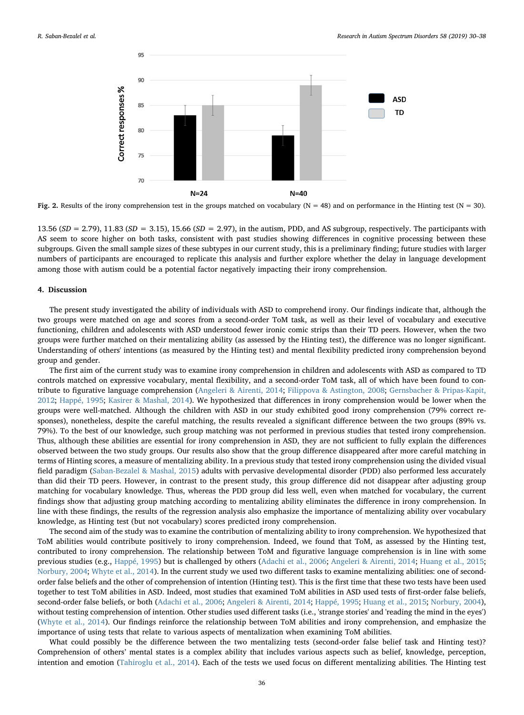<span id="page-6-0"></span>

Fig. 2. Results of the irony comprehension test in the groups matched on vocabulary ( $N = 48$ ) and on performance in the Hinting test ( $N = 30$ ).

13.56 ( $SD = 2.79$ ), 11.83 ( $SD = 3.15$ ), 15.66 ( $SD = 2.97$ ), in the autism, PDD, and AS subgroup, respectively. The participants with AS seem to score higher on both tasks, consistent with past studies showing differences in cognitive processing between these subgroups. Given the small sample sizes of these subtypes in our current study, this is a preliminary finding; future studies with larger numbers of participants are encouraged to replicate this analysis and further explore whether the delay in language development among those with autism could be a potential factor negatively impacting their irony comprehension.

#### 4. Discussion

The present study investigated the ability of individuals with ASD to comprehend irony. Our findings indicate that, although the two groups were matched on age and scores from a second-order ToM task, as well as their level of vocabulary and executive functioning, children and adolescents with ASD understood fewer ironic comic strips than their TD peers. However, when the two groups were further matched on their mentalizing ability (as assessed by the Hinting test), the difference was no longer significant. Understanding of others' intentions (as measured by the Hinting test) and mental flexibility predicted irony comprehension beyond group and gender.

The first aim of the current study was to examine irony comprehension in children and adolescents with ASD as compared to TD controls matched on expressive vocabulary, mental flexibility, and a second-order ToM task, all of which have been found to contribute to figurative language comprehension [\(Angeleri & Airenti, 2014](#page-8-5); [Filippova & Astington, 2008;](#page-8-45) [Gernsbacher & Pripas-Kapit,](#page-8-33) [2012;](#page-8-33) [Happé, 1995;](#page-8-18) [Kasirer & Mashal, 2014\)](#page-8-31). We hypothesized that differences in irony comprehension would be lower when the groups were well-matched. Although the children with ASD in our study exhibited good irony comprehension (79% correct responses), nonetheless, despite the careful matching, the results revealed a significant difference between the two groups (89% vs. 79%). To the best of our knowledge, such group matching was not performed in previous studies that tested irony comprehension. Thus, although these abilities are essential for irony comprehension in ASD, they are not sufficient to fully explain the differences observed between the two study groups. Our results also show that the group difference disappeared after more careful matching in terms of Hinting scores, a measure of mentalizing ability. In a previous study that tested irony comprehension using the divided visual field paradigm [\(Saban-Bezalel & Mashal, 2015\)](#page-8-12) adults with pervasive developmental disorder (PDD) also performed less accurately than did their TD peers. However, in contrast to the present study, this group difference did not disappear after adjusting group matching for vocabulary knowledge. Thus, whereas the PDD group did less well, even when matched for vocabulary, the current findings show that adjusting group matching according to mentalizing ability eliminates the difference in irony comprehension. In line with these findings, the results of the regression analysis also emphasize the importance of mentalizing ability over vocabulary knowledge, as Hinting test (but not vocabulary) scores predicted irony comprehension.

The second aim of the study was to examine the contribution of mentalizing ability to irony comprehension. We hypothesized that ToM abilities would contribute positively to irony comprehension. Indeed, we found that ToM, as assessed by the Hinting test, contributed to irony comprehension. The relationship between ToM and figurative language comprehension is in line with some previous studies (e.g., [Happé, 1995\)](#page-8-18) but is challenged by others ([Adachi et al., 2006](#page-8-20); [Angeleri & Airenti, 2014;](#page-8-5) [Huang et al., 2015;](#page-8-21) [Norbury, 2004;](#page-8-22) [Whyte et al., 2014](#page-8-19)). In the current study we used two different tasks to examine mentalizing abilities: one of secondorder false beliefs and the other of comprehension of intention (Hinting test). This is the first time that these two tests have been used together to test ToM abilities in ASD. Indeed, most studies that examined ToM abilities in ASD used tests of first-order false beliefs, second-order false beliefs, or both [\(Adachi et al., 2006](#page-8-20); [Angeleri & Airenti, 2014](#page-8-5); [Happé, 1995;](#page-8-18) [Huang et al., 2015](#page-8-21); [Norbury, 2004](#page-8-22)), without testing comprehension of intention. Other studies used different tasks (i.e., 'strange stories' and 'reading the mind in the eyes') ([Whyte et al., 2014](#page-8-19)). Our findings reinforce the relationship between ToM abilities and irony comprehension, and emphasize the importance of using tests that relate to various aspects of mentalization when examining ToM abilities.

What could possibly be the difference between the two mentalizing tests (second-order false belief task and Hinting test)? Comprehension of others' mental states is a complex ability that includes various aspects such as belief, knowledge, perception, intention and emotion [\(Tahiroglu et al., 2014\)](#page-8-46). Each of the tests we used focus on different mentalizing abilities. The Hinting test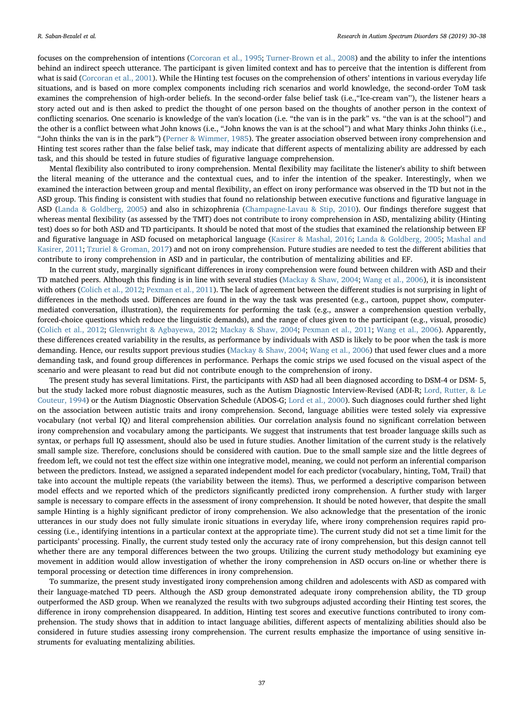focuses on the comprehension of intentions ([Corcoran et al., 1995](#page-8-24); [Turner-Brown et al., 2008\)](#page-8-25) and the ability to infer the intentions behind an indirect speech utterance. The participant is given limited context and has to perceive that the intention is different from what is said [\(Corcoran et al., 2001\)](#page-8-38). While the Hinting test focuses on the comprehension of others' intentions in various everyday life situations, and is based on more complex components including rich scenarios and world knowledge, the second-order ToM task examines the comprehension of high-order beliefs. In the second-order false belief task (i.e.,"Ice-cream van''), the listener hears a story acted out and is then asked to predict the thought of one person based on the thoughts of another person in the context of conflicting scenarios. One scenario is knowledge of the van's location (i.e. "the van is in the park" vs. "the van is at the school") and the other is a conflict between what John knows (i.e., "John knows the van is at the school") and what Mary thinks John thinks (i.e., "John thinks the van is in the park") [\(Perner & Wimmer, 1985](#page-8-23)). The greater association observed between irony comprehension and Hinting test scores rather than the false belief task, may indicate that different aspects of mentalizing ability are addressed by each task, and this should be tested in future studies of figurative language comprehension.

Mental flexibility also contributed to irony comprehension. Mental flexibility may facilitate the listener's ability to shift between the literal meaning of the utterance and the contextual cues, and to infer the intention of the speaker. Interestingly, when we examined the interaction between group and mental flexibility, an effect on irony performance was observed in the TD but not in the ASD group. This finding is consistent with studies that found no relationship between executive functions and figurative language in ASD [\(Landa & Goldberg, 2005\)](#page-8-27) and also in schizophrenia [\(Champagne-Lavau & Stip, 2010\)](#page-8-47). Our findings therefore suggest that whereas mental flexibility (as assessed by the TMT) does not contribute to irony comprehension in ASD, mentalizing ability (Hinting test) does so for both ASD and TD participants. It should be noted that most of the studies that examined the relationship between EF and figurative language in ASD focused on metaphorical language [\(Kasirer & Mashal, 2016](#page-8-29); [Landa & Goldberg, 2005](#page-8-27); [Mashal and](#page-8-30) [Kasirer, 2011](#page-8-30); [Tzuriel & Groman, 2017\)](#page-8-28) and not on irony comprehension. Future studies are needed to test the different abilities that contribute to irony comprehension in ASD and in particular, the contribution of mentalizing abilities and EF.

In the current study, marginally significant differences in irony comprehension were found between children with ASD and their TD matched peers. Although this finding is in line with several studies [\(Mackay & Shaw, 2004;](#page-8-9) Wang [et al., 2006](#page-8-10)), it is inconsistent with others ([Colich et al., 2012;](#page-8-13) [Pexman et al., 2011\)](#page-8-15). The lack of agreement between the different studies is not surprising in light of differences in the methods used. Differences are found in the way the task was presented (e.g., cartoon, puppet show, computermediated conversation, illustration), the requirements for performing the task (e.g., answer a comprehension question verbally, forced-choice questions which reduce the linguistic demands), and the range of clues given to the participant (e.g., visual, prosodic) ([Colich et al., 2012](#page-8-13); [Glenwright & Agbayewa, 2012;](#page-8-14) [Mackay & Shaw, 2004](#page-8-9); [Pexman et al., 2011](#page-8-15); [Wang et al., 2006\)](#page-8-10). Apparently, these differences created variability in the results, as performance by individuals with ASD is likely to be poor when the task is more demanding. Hence, our results support previous studies [\(Mackay & Shaw, 2004;](#page-8-9) [Wang et al., 2006](#page-8-10)) that used fewer clues and a more demanding task, and found group differences in performance. Perhaps the comic strips we used focused on the visual aspect of the scenario and were pleasant to read but did not contribute enough to the comprehension of irony.

The present study has several limitations. First, the participants with ASD had all been diagnosed according to DSM-4 or DSM- 5, but the study lacked more robust diagnostic measures, such as the Autism Diagnostic Interview-Revised (ADI-R; [Lord, Rutter, & Le](#page-8-48) [Couteur, 1994\)](#page-8-48) or the Autism Diagnostic Observation Schedule (ADOS-G; [Lord et al., 2000\)](#page-8-49). Such diagnoses could further shed light on the association between autistic traits and irony comprehension. Second, language abilities were tested solely via expressive vocabulary (not verbal IQ) and literal comprehension abilities. Our correlation analysis found no significant correlation between irony comprehension and vocabulary among the participants. We suggest that instruments that test broader language skills such as syntax, or perhaps full IQ assessment, should also be used in future studies. Another limitation of the current study is the relatively small sample size. Therefore, conclusions should be considered with caution. Due to the small sample size and the little degrees of freedom left, we could not test the effect size within one integrative model, meaning, we could not perform an inferential comparison between the predictors. Instead, we assigned a separated independent model for each predictor (vocabulary, hinting, ToM, Trail) that take into account the multiple repeats (the variability between the items). Thus, we performed a descriptive comparison between model effects and we reported which of the predictors significantly predicted irony comprehension. A further study with larger sample is necessary to compare effects in the assessment of irony comprehension. It should be noted however, that despite the small sample Hinting is a highly significant predictor of irony comprehension. We also acknowledge that the presentation of the ironic utterances in our study does not fully simulate ironic situations in everyday life, where irony comprehension requires rapid processing (i.e., identifying intentions in a particular context at the appropriate time). The current study did not set a time limit for the participants' processing. Finally, the current study tested only the accuracy rate of irony comprehension, but this design cannot tell whether there are any temporal differences between the two groups. Utilizing the current study methodology but examining eye movement in addition would allow investigation of whether the irony comprehension in ASD occurs on-line or whether there is temporal processing or detection time differences in irony comprehension.

To summarize, the present study investigated irony comprehension among children and adolescents with ASD as compared with their language-matched TD peers. Although the ASD group demonstrated adequate irony comprehension ability, the TD group outperformed the ASD group. When we reanalyzed the results with two subgroups adjusted according their Hinting test scores, the difference in irony comprehension disappeared. In addition, Hinting test scores and executive functions contributed to irony comprehension. The study shows that in addition to intact language abilities, different aspects of mentalizing abilities should also be considered in future studies assessing irony comprehension. The current results emphasize the importance of using sensitive instruments for evaluating mentalizing abilities.